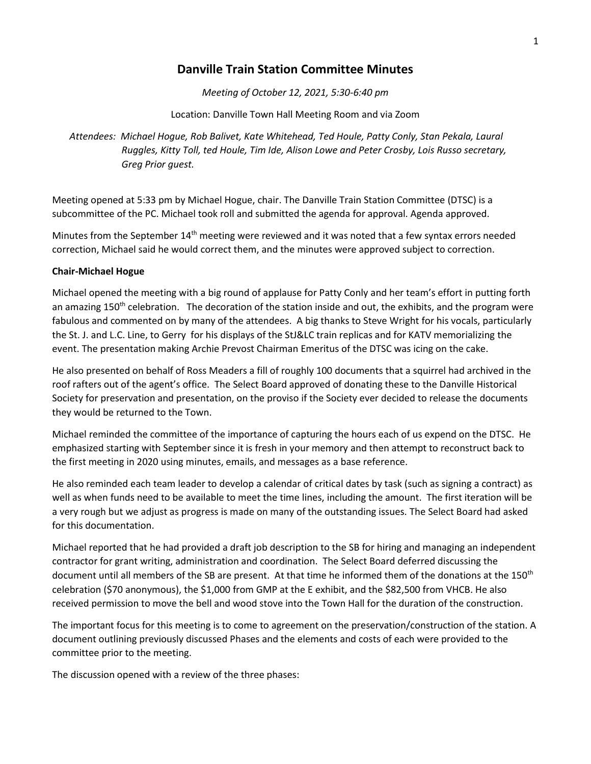## **Danville Train Station Committee Minutes**

*Meeting of October 12, 2021, 5:30-6:40 pm*

Location: Danville Town Hall Meeting Room and via Zoom

*Attendees: Michael Hogue, Rob Balivet, Kate Whitehead, Ted Houle, Patty Conly, Stan Pekala, Laural Ruggles, Kitty Toll, ted Houle, Tim Ide, Alison Lowe and Peter Crosby, Lois Russo secretary, Greg Prior guest.*

Meeting opened at 5:33 pm by Michael Hogue, chair. The Danville Train Station Committee (DTSC) is a subcommittee of the PC. Michael took roll and submitted the agenda for approval. Agenda approved.

Minutes from the September 14<sup>th</sup> meeting were reviewed and it was noted that a few syntax errors needed correction, Michael said he would correct them, and the minutes were approved subject to correction.

## **Chair-Michael Hogue**

Michael opened the meeting with a big round of applause for Patty Conly and her team's effort in putting forth an amazing 150<sup>th</sup> celebration. The decoration of the station inside and out, the exhibits, and the program were fabulous and commented on by many of the attendees. A big thanks to Steve Wright for his vocals, particularly the St. J. and L.C. Line, to Gerry for his displays of the StJ&LC train replicas and for KATV memorializing the event. The presentation making Archie Prevost Chairman Emeritus of the DTSC was icing on the cake.

He also presented on behalf of Ross Meaders a fill of roughly 100 documents that a squirrel had archived in the roof rafters out of the agent's office. The Select Board approved of donating these to the Danville Historical Society for preservation and presentation, on the proviso if the Society ever decided to release the documents they would be returned to the Town.

Michael reminded the committee of the importance of capturing the hours each of us expend on the DTSC. He emphasized starting with September since it is fresh in your memory and then attempt to reconstruct back to the first meeting in 2020 using minutes, emails, and messages as a base reference.

He also reminded each team leader to develop a calendar of critical dates by task (such as signing a contract) as well as when funds need to be available to meet the time lines, including the amount. The first iteration will be a very rough but we adjust as progress is made on many of the outstanding issues. The Select Board had asked for this documentation.

Michael reported that he had provided a draft job description to the SB for hiring and managing an independent contractor for grant writing, administration and coordination. The Select Board deferred discussing the document until all members of the SB are present. At that time he informed them of the donations at the 150th celebration (\$70 anonymous), the \$1,000 from GMP at the E exhibit, and the \$82,500 from VHCB. He also received permission to move the bell and wood stove into the Town Hall for the duration of the construction.

The important focus for this meeting is to come to agreement on the preservation/construction of the station. A document outlining previously discussed Phases and the elements and costs of each were provided to the committee prior to the meeting.

The discussion opened with a review of the three phases: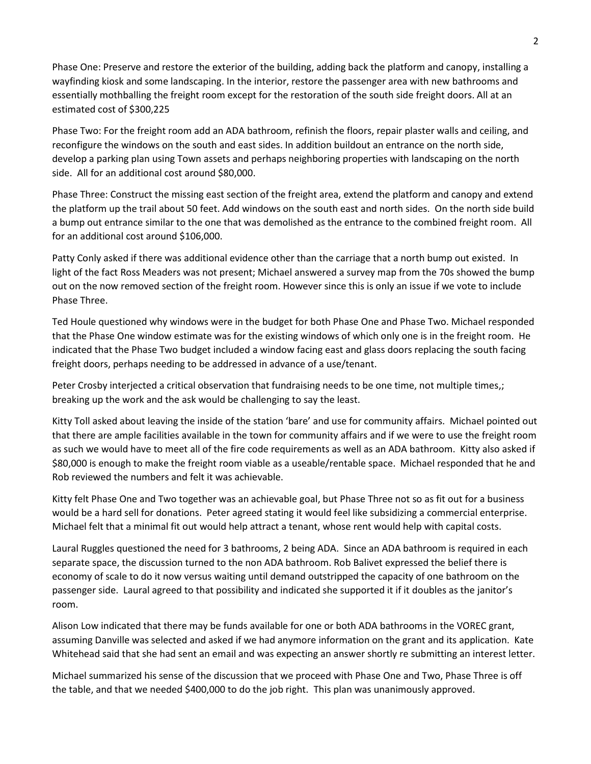Phase One: Preserve and restore the exterior of the building, adding back the platform and canopy, installing a wayfinding kiosk and some landscaping. In the interior, restore the passenger area with new bathrooms and essentially mothballing the freight room except for the restoration of the south side freight doors. All at an estimated cost of \$300,225

Phase Two: For the freight room add an ADA bathroom, refinish the floors, repair plaster walls and ceiling, and reconfigure the windows on the south and east sides. In addition buildout an entrance on the north side, develop a parking plan using Town assets and perhaps neighboring properties with landscaping on the north side. All for an additional cost around \$80,000.

Phase Three: Construct the missing east section of the freight area, extend the platform and canopy and extend the platform up the trail about 50 feet. Add windows on the south east and north sides. On the north side build a bump out entrance similar to the one that was demolished as the entrance to the combined freight room. All for an additional cost around \$106,000.

Patty Conly asked if there was additional evidence other than the carriage that a north bump out existed. In light of the fact Ross Meaders was not present; Michael answered a survey map from the 70s showed the bump out on the now removed section of the freight room. However since this is only an issue if we vote to include Phase Three.

Ted Houle questioned why windows were in the budget for both Phase One and Phase Two. Michael responded that the Phase One window estimate was for the existing windows of which only one is in the freight room. He indicated that the Phase Two budget included a window facing east and glass doors replacing the south facing freight doors, perhaps needing to be addressed in advance of a use/tenant.

Peter Crosby interjected a critical observation that fundraising needs to be one time, not multiple times,; breaking up the work and the ask would be challenging to say the least.

Kitty Toll asked about leaving the inside of the station 'bare' and use for community affairs. Michael pointed out that there are ample facilities available in the town for community affairs and if we were to use the freight room as such we would have to meet all of the fire code requirements as well as an ADA bathroom. Kitty also asked if \$80,000 is enough to make the freight room viable as a useable/rentable space. Michael responded that he and Rob reviewed the numbers and felt it was achievable.

Kitty felt Phase One and Two together was an achievable goal, but Phase Three not so as fit out for a business would be a hard sell for donations. Peter agreed stating it would feel like subsidizing a commercial enterprise. Michael felt that a minimal fit out would help attract a tenant, whose rent would help with capital costs.

Laural Ruggles questioned the need for 3 bathrooms, 2 being ADA. Since an ADA bathroom is required in each separate space, the discussion turned to the non ADA bathroom. Rob Balivet expressed the belief there is economy of scale to do it now versus waiting until demand outstripped the capacity of one bathroom on the passenger side. Laural agreed to that possibility and indicated she supported it if it doubles as the janitor's room.

Alison Low indicated that there may be funds available for one or both ADA bathrooms in the VOREC grant, assuming Danville was selected and asked if we had anymore information on the grant and its application. Kate Whitehead said that she had sent an email and was expecting an answer shortly re submitting an interest letter.

Michael summarized his sense of the discussion that we proceed with Phase One and Two, Phase Three is off the table, and that we needed \$400,000 to do the job right. This plan was unanimously approved.